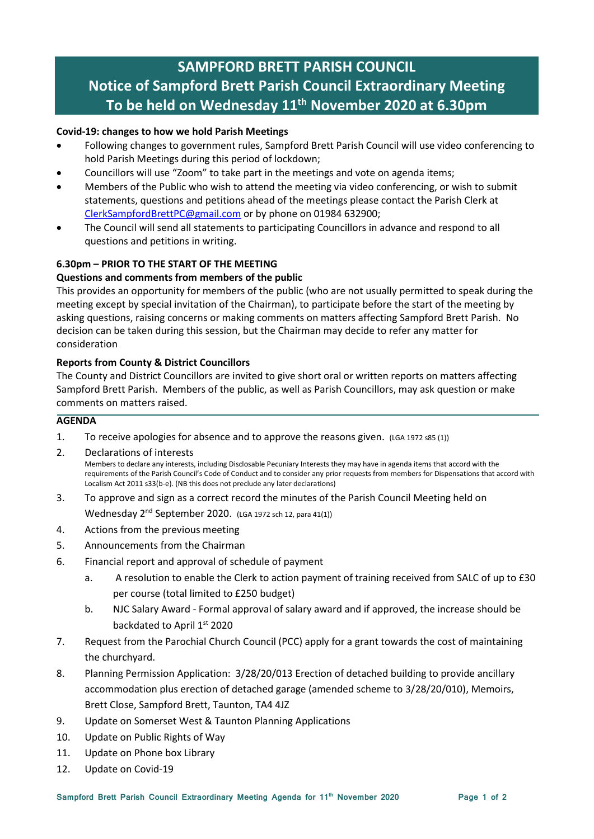# SAMPFORD BRETT PARISH COUNCIL Notice of Sampford Brett Parish Council Extraordinary Meeting To be held on Wednesday 11th November 2020 at 6.30pm

## Covid-19: changes to how we hold Parish Meetings

- Following changes to government rules, Sampford Brett Parish Council will use video conferencing to hold Parish Meetings during this period of lockdown;
- Councillors will use "Zoom" to take part in the meetings and vote on agenda items;
- Members of the Public who wish to attend the meeting via video conferencing, or wish to submit statements, questions and petitions ahead of the meetings please contact the Parish Clerk at ClerkSampfordBrettPC@gmail.com or by phone on 01984 632900;
- The Council will send all statements to participating Councillors in advance and respond to all questions and petitions in writing.

# 6.30pm – PRIOR TO THE START OF THE MEETING

#### Questions and comments from members of the public

This provides an opportunity for members of the public (who are not usually permitted to speak during the meeting except by special invitation of the Chairman), to participate before the start of the meeting by asking questions, raising concerns or making comments on matters affecting Sampford Brett Parish. No decision can be taken during this session, but the Chairman may decide to refer any matter for consideration

#### Reports from County & District Councillors

The County and District Councillors are invited to give short oral or written reports on matters affecting Sampford Brett Parish. Members of the public, as well as Parish Councillors, may ask question or make comments on matters raised.

## **AGENDA**

- 1. To receive apologies for absence and to approve the reasons given. (LGA 1972 s85 (1))
- 2. Declarations of interests Members to declare any interests, including Disclosable Pecuniary Interests they may have in agenda items that accord with the requirements of the Parish Council's Code of Conduct and to consider any prior requests from members for Dispensations that accord with Localism Act 2011 s33(b-e). (NB this does not preclude any later declarations)
- 3. To approve and sign as a correct record the minutes of the Parish Council Meeting held on Wednesday 2<sup>nd</sup> September 2020. (LGA 1972 sch 12, para 41(1))
- 4. Actions from the previous meeting
- 5. Announcements from the Chairman
- 6. Financial report and approval of schedule of payment
	- a. A resolution to enable the Clerk to action payment of training received from SALC of up to £30 per course (total limited to £250 budget)
	- b. NJC Salary Award Formal approval of salary award and if approved, the increase should be backdated to April 1st 2020
- 7. Request from the Parochial Church Council (PCC) apply for a grant towards the cost of maintaining the churchyard.
- 8. Planning Permission Application: 3/28/20/013 Erection of detached building to provide ancillary accommodation plus erection of detached garage (amended scheme to 3/28/20/010), Memoirs, Brett Close, Sampford Brett, Taunton, TA4 4JZ
- 9. Update on Somerset West & Taunton Planning Applications
- 10. Update on Public Rights of Way
- 11. Update on Phone box Library
- 12. Update on Covid-19